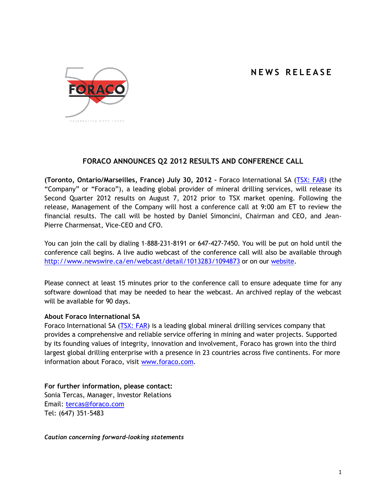## **N E W S R E L E A S E**



## **FORACO ANNOUNCES Q2 2012 RESULTS AND CONFERENCE CALL**

**(Toronto, Ontario/Marseilles, France) July 30, 2012 –** Foraco International SA [\(TSX: FAR\)](http://tmx.quotemedia.com/quote.php?qm_symbol=FAR) (the "Company" or "Foraco"), a leading global provider of mineral drilling services, will release its Second Quarter 2012 results on August 7, 2012 prior to TSX market opening. Following the release, Management of the Company will host a conference call at 9:00 am ET to review the financial results. The call will be hosted by Daniel Simoncini, Chairman and CEO, and Jean-Pierre Charmensat, Vice-CEO and CFO.

You can join the call by dialing 1-888-231-8191 or 647-427-7450. You will be put on hold until the conference call begins. A live audio webcast of the conference call will also be available through <http://www.newswire.ca/en/webcast/detail/1013283/1094873> or on our [website.](http://www.foraco.com/index.php/investors/events-a-earnings-calendar)

Please connect at least 15 minutes prior to the conference call to ensure adequate time for any software download that may be needed to hear the webcast. An archived replay of the webcast will be available for 90 days.

## **About Foraco International SA**

Foraco International SA [\(TSX: FAR\)](http://tmx.quotemedia.com/quote.php?qm_symbol=FAR) is a leading global mineral drilling services company that provides a comprehensive and reliable service offering in mining and water projects. Supported by its founding values of integrity, innovation and involvement, Foraco has grown into the third largest global drilling enterprise with a presence in 23 countries across five continents. For more information about Foraco, visit [www.foraco.com.](http://www.foraco.com/)

**For further information, please contact:** Sonia Tercas, Manager, Investor Relations Email: [tercas@foraco.com](mailto:tercas@foraco.com) Tel: (647) 351-5483

*Caution concerning forward-looking statements*